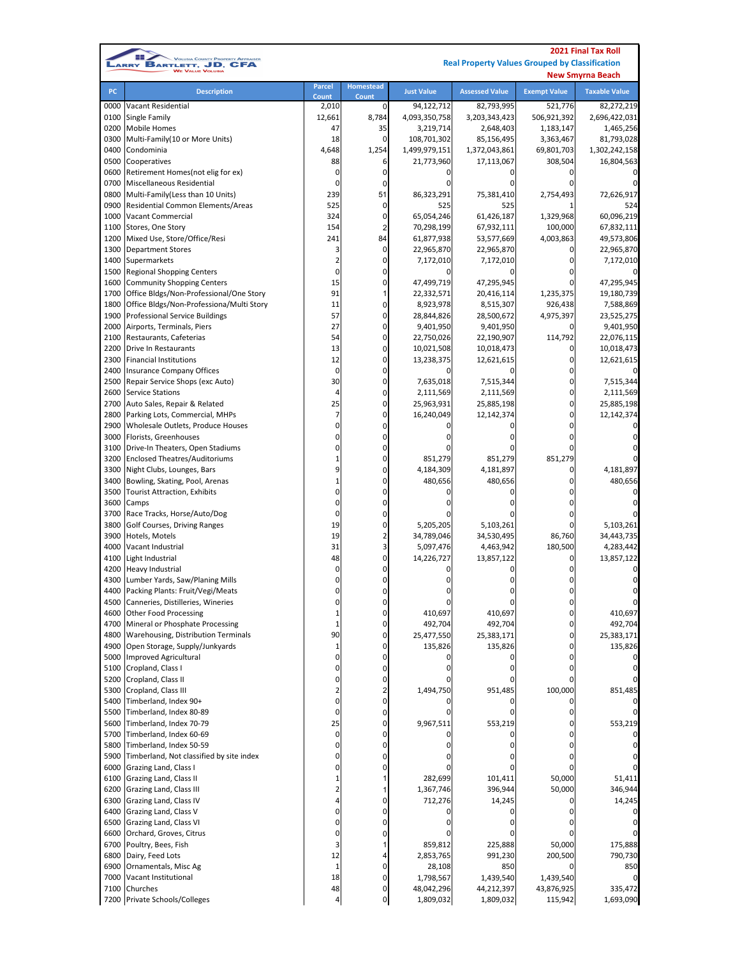|              |                                                                              |                         | <b>2021 Final Tax Roll</b> |                          |                                                       |                     |                          |
|--------------|------------------------------------------------------------------------------|-------------------------|----------------------------|--------------------------|-------------------------------------------------------|---------------------|--------------------------|
|              | <b>VOLUSIA COUNTY PROPERTY APPRAISER</b><br>BARTLETT, JD, CFA<br><b>ARRY</b> |                         |                            |                          | <b>Real Property Values Grouped by Classification</b> |                     |                          |
|              |                                                                              |                         |                            |                          |                                                       |                     | <b>New Smyrna Beach</b>  |
| PC           | <b>Description</b>                                                           | <b>Parcel</b>           | Homestead                  | <b>Just Value</b>        | <b>Assessed Value</b>                                 | <b>Exempt Value</b> | <b>Taxable Value</b>     |
|              |                                                                              | Count                   | Count                      |                          |                                                       |                     |                          |
| 0000         | Vacant Residential                                                           | 2,010                   | 0                          | 94,122,712               | 82,793,995                                            | 521,776             | 82,272,219               |
| 0100         | Single Family                                                                | 12,661                  | 8,784                      | 4,093,350,758            | 3,203,343,423                                         | 506,921,392         | 2,696,422,031            |
| 0200         | <b>Mobile Homes</b>                                                          | 47                      | 35                         | 3,219,714                | 2,648,403                                             | 1,183,147           | 1,465,256                |
| 0300         | Multi-Family(10 or More Units)                                               | 18                      | $\pmb{0}$                  | 108,701,302              | 85,156,495                                            | 3,363,467           | 81,793,028               |
| 0400         | Condominia                                                                   | 4,648                   | 1,254                      | 1,499,979,151            | 1,372,043,861                                         | 69,801,703          | 1,302,242,158            |
| 0500         | Cooperatives                                                                 | 88                      | 6                          | 21,773,960               | 17,113,067                                            | 308,504             | 16,804,563               |
| 0600         | Retirement Homes(not elig for ex)                                            | 0                       | 0                          | 0                        | ŋ                                                     | ŋ                   |                          |
| 0700<br>0800 | Miscellaneous Residential                                                    | 0<br>239                | 0                          | 0                        | ŋ                                                     | 0                   |                          |
|              | Multi-Family(Less than 10 Units)                                             |                         | 51                         | 86,323,291               | 75,381,410                                            | 2,754,493           | 72,626,917               |
| 0900         | Residential Common Elements/Areas<br><b>Vacant Commercial</b>                | 525                     | 0<br>$\mathbf 0$           | 525                      | 525                                                   | 1,329,968           | 524                      |
| 1000<br>1100 | Stores, One Story                                                            | 324<br>154              | $\overline{c}$             | 65,054,246               | 61,426,187                                            | 100,000             | 60,096,219               |
| 1200         | Mixed Use, Store/Office/Resi                                                 | 241                     | 84                         | 70,298,199<br>61,877,938 | 67,932,111                                            | 4,003,863           | 67,832,111               |
| 1300         | <b>Department Stores</b>                                                     | 3                       | $\mathbf 0$                | 22,965,870               | 53,577,669<br>22,965,870                              | 0                   | 49,573,806<br>22,965,870 |
| 1400         | Supermarkets                                                                 | $\overline{\mathbf{c}}$ | 0                          | 7,172,010                | 7,172,010                                             |                     | 7,172,010                |
| 1500         | <b>Regional Shopping Centers</b>                                             | 0                       | $\mathbf 0$                | 0                        |                                                       | 0                   |                          |
| 1600         |                                                                              | 15                      | 0                          | 47,499,719               | 47,295,945                                            | $\Omega$            | 47,295,945               |
| 1700         | <b>Community Shopping Centers</b>                                            | 91                      | 1                          |                          | 20,416,114                                            | 1,235,375           | 19,180,739               |
| 1800         | Office Bldgs/Non-Professional/One Story                                      | 11                      | $\mathbf 0$                | 22,332,571<br>8,923,978  |                                                       | 926,438             | 7,588,869                |
| 1900         | Office Bldgs/Non-Professiona/Multi Story                                     | 57                      | $\mathbf 0$                |                          | 8,515,307<br>28,500,672                               |                     |                          |
|              | <b>Professional Service Buildings</b>                                        | 27                      | 0                          | 28,844,826               |                                                       | 4,975,397           | 23,525,275               |
| 2000         | Airports, Terminals, Piers                                                   | 54                      | 0                          | 9,401,950                | 9,401,950                                             |                     | 9,401,950                |
| 2100         | Restaurants, Cafeterias                                                      |                         | 0                          | 22,750,026               | 22,190,907                                            | 114,792             | 22,076,115               |
| 2200         | <b>Drive In Restaurants</b>                                                  | 13                      | 0                          | 10,021,508               | 10,018,473                                            | 0<br>0              | 10,018,473               |
| 2300         | <b>Financial Institutions</b>                                                | 12<br>0                 |                            | 13,238,375               | 12,621,615                                            |                     | 12,621,615               |
| 2400         | <b>Insurance Company Offices</b>                                             |                         | 0<br>$\Omega$              |                          |                                                       | 0                   |                          |
| 2500         | Repair Service Shops (exc Auto)                                              | 30                      |                            | 7,635,018                | 7,515,344                                             | 0                   | 7,515,344                |
| 2600         | <b>Service Stations</b>                                                      | 4                       | 0<br>0                     | 2,111,569                | 2,111,569                                             | 0<br>0              | 2,111,569                |
| 2700         | Auto Sales, Repair & Related                                                 | 25                      |                            | 25,963,931               | 25,885,198                                            |                     | 25,885,198               |
| 2800         | Parking Lots, Commercial, MHPs                                               | 7                       | 0                          | 16,240,049               | 12,142,374                                            | 0                   | 12,142,374               |
| 2900         | Wholesale Outlets, Produce Houses                                            | 0                       | 0                          |                          |                                                       | $\Omega$            |                          |
| 3000         | Florists, Greenhouses                                                        | 0                       | 0                          |                          |                                                       | 0                   |                          |
| 3100         | Drive-In Theaters, Open Stadiums                                             | 0                       | 0                          | 0                        |                                                       | 0                   |                          |
| 3200         | <b>Enclosed Theatres/Auditoriums</b>                                         | $\mathbf 1$             | 0                          | 851,279                  | 851,279                                               | 851,279             |                          |
| 3300         | Night Clubs, Lounges, Bars                                                   | 9                       | $\mathbf 0$                | 4,184,309                | 4,181,897                                             | 0                   | 4,181,897                |
| 3400         | Bowling, Skating, Pool, Arenas                                               | $\mathbf 1$             | $\mathbf 0$                | 480,656                  | 480,656                                               | 0                   | 480,656                  |
| 3500         | <b>Tourist Attraction, Exhibits</b>                                          | 0                       | $\Omega$                   | 0                        |                                                       |                     |                          |
| 3600         | Camps                                                                        | 0                       | 0                          |                          |                                                       | 0                   |                          |
| 3700         | Race Tracks, Horse/Auto/Dog                                                  | 0                       | $\Omega$                   |                          |                                                       | 0                   |                          |
| 3800         | Golf Courses, Driving Ranges                                                 | 19                      | $\mathbf 0$                | 5,205,205                | 5,103,261                                             | 0                   | 5,103,261                |
| 3900         | Hotels, Motels                                                               | 19                      | $\overline{2}$             | 34,789,046               | 34,530,495                                            | 86,760              | 34,443,735               |
| 4000         | Vacant Industrial                                                            | 31                      | 3                          | 5,097,476                | 4,463,942                                             | 180,500             | 4,283,442                |
| 4100         | Light Industrial                                                             | 48                      | 0                          | 14,226,727               | 13,857,122                                            | 0                   | 13,857,122               |
| 4200         | <b>Heavy Industrial</b>                                                      | 0                       | 0                          | 0                        |                                                       |                     |                          |
|              | 4300 Lumber Yards, Saw/Planing Mills                                         | 0                       | 0                          | 0                        |                                                       | 0                   | 0                        |
| 4400         | Packing Plants: Fruit/Vegi/Meats                                             | 0                       |                            |                          |                                                       |                     |                          |
| 4500         | Canneries, Distilleries, Wineries                                            | 0                       | 0                          |                          |                                                       | 0                   |                          |
| 4600         | <b>Other Food Processing</b>                                                 | $\mathbf{1}$            | $\Omega$                   | 410,697                  | 410,697                                               | $\Omega$            | 410,697                  |
| 4700         | Mineral or Phosphate Processing                                              | 1                       | 0                          | 492,704                  | 492,704                                               | 0                   | 492,704                  |
| 4800         | Warehousing, Distribution Terminals                                          | 90                      | $\mathbf 0$                | 25,477,550               | 25,383,171                                            | 0                   | 25,383,171               |
| 4900         | Open Storage, Supply/Junkyards                                               | 1                       | 0                          | 135,826                  | 135,826                                               | 0                   | 135,826                  |
| 5000         | Improved Agricultural                                                        | 0                       | $\Omega$                   | 0                        |                                                       | 0                   |                          |
| 5100         | Cropland, Class I                                                            | 0                       | 0                          | 0                        | o                                                     | 0                   |                          |
| 5200         | Cropland, Class II                                                           | 0                       | 0                          | 0                        |                                                       |                     |                          |
| 5300         | Cropland, Class III                                                          | 2                       | 2                          | 1,494,750                | 951,485                                               | 100,000             | 851,485                  |
| 5400         | Timberland, Index 90+                                                        | 0                       | $\mathbf 0$                | 0                        |                                                       | 0                   | 0                        |
| 5500         | Timberland, Index 80-89                                                      | 0                       | 0                          | 0                        | 0                                                     | 0                   | U                        |
| 5600         | Timberland, Index 70-79                                                      | 25                      | $\mathbf 0$                | 9,967,511                | 553,219                                               | $\Omega$            | 553,219                  |
| 5700         | Timberland, Index 60-69                                                      | 0                       | 0                          | 0                        |                                                       | 0                   | 0                        |
| 5800         | Timberland, Index 50-59                                                      | 0                       | $\Omega$                   | 0                        |                                                       | 0                   |                          |
| 5900         | Timberland, Not classified by site index                                     | 0                       | 0                          | 0                        |                                                       | 0                   |                          |
| 6000         | Grazing Land, Class I                                                        | 0                       | $\Omega$                   | 0                        |                                                       |                     |                          |
| 6100         | Grazing Land, Class II                                                       | $\mathbf 1$             |                            | 282,699                  | 101,411                                               | 50,000              | 51,411                   |
| 6200         | Grazing Land, Class III                                                      | $\overline{\mathbf{c}}$ |                            | 1,367,746                | 396,944                                               | 50,000              | 346,944                  |
| 6300         | Grazing Land, Class IV                                                       | 4                       | 0                          | 712,276                  | 14,245                                                | 0                   | 14,245                   |
| 6400         | Grazing Land, Class V                                                        | 0                       | $\Omega$                   | 0                        |                                                       |                     | 0                        |
| 6500         | Grazing Land, Class VI                                                       | 0                       | 0                          | 0                        |                                                       |                     |                          |
| 6600         | Orchard, Groves, Citrus                                                      | 0                       | $\Omega$                   | 0                        |                                                       |                     | 0                        |
| 6700         | Poultry, Bees, Fish                                                          | 3                       |                            | 859,812                  | 225,888                                               | 50,000              | 175,888                  |
| 6800         | Dairy, Feed Lots                                                             | 12                      |                            | 2,853,765                | 991,230                                               | 200,500             | 790,730                  |
| 6900         | Ornamentals, Misc Ag                                                         | $\mathbf{1}$            | $\mathbf 0$                | 28,108                   | 850                                                   |                     | 850                      |
| 7000         | Vacant Institutional                                                         | 18                      | $\mathbf 0$                | 1,798,567                | 1,439,540                                             | 1,439,540           | 0                        |
| 7100         | Churches                                                                     | 48                      | 0                          | 48,042,296               | 44,212,397                                            | 43,876,925          | 335,472                  |
|              | 7200 Private Schools/Colleges                                                | 4                       | $\mathbf 0$                | 1,809,032                | 1,809,032                                             | 115,942             | 1,693,090                |